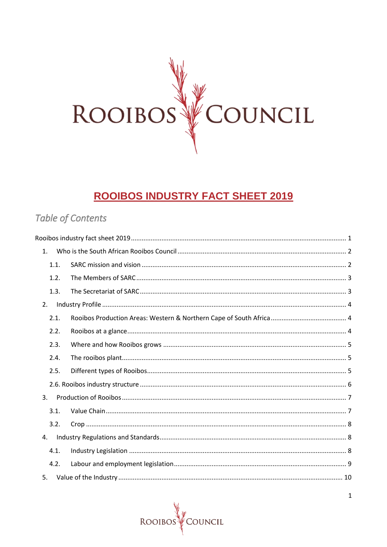

# **ROOIBOS INDUSTRY FACT SHEET 2019**

## <span id="page-0-0"></span>**Table of Contents**

| 1.   |  |
|------|--|
| 1.1. |  |
| 1.2. |  |
| 1.3. |  |
| 2.   |  |
| 2.1. |  |
| 2.2. |  |
| 2.3. |  |
| 2.4. |  |
| 2.5. |  |
|      |  |
| 3.   |  |
| 3.1. |  |
| 3.2. |  |
| 4.   |  |
| 4.1. |  |
| 4.2. |  |
| 5.   |  |

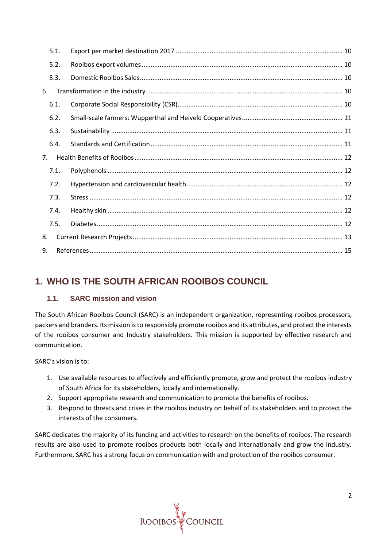| 5.1.           |  |  |  |
|----------------|--|--|--|
| 5.2.           |  |  |  |
| 5.3.           |  |  |  |
| 6.             |  |  |  |
| 6.1.           |  |  |  |
| 6.2.           |  |  |  |
| 6.3.           |  |  |  |
| 6.4.           |  |  |  |
| 7 <sub>1</sub> |  |  |  |
| 7.1.           |  |  |  |
| 7.2.           |  |  |  |
| 7.3.           |  |  |  |
| 7.4.           |  |  |  |
| 7.5.           |  |  |  |
| 8.             |  |  |  |
| 9.             |  |  |  |

## <span id="page-1-0"></span>**1. WHO IS THE SOUTH AFRICAN ROOIBOS COUNCIL**

## <span id="page-1-1"></span>**1.1. SARC mission and vision**

The South African Rooibos Council (SARC) is an independent organization, representing rooibos processors, packers and branders. Its mission is to responsibly promote rooibos and its attributes, and protect the interests of the rooibos consumer and Industry stakeholders. This mission is supported by effective research and communication.

SARC's vision is to:

- 1. Use available resources to effectively and efficiently promote, grow and protect the rooibos industry of South Africa for its stakeholders, locally and internationally.
- 2. Support appropriate research and communication to promote the benefits of rooibos.
- 3. Respond to threats and crises in the rooibos industry on behalf of its stakeholders and to protect the interests of the consumers.

SARC dedicates the majority of its funding and activities to research on the benefits of rooibos. The research results are also used to promote rooibos products both locally and internationally and grow the industry. Furthermore, SARC has a strong focus on communication with and protection of the rooibos consumer.

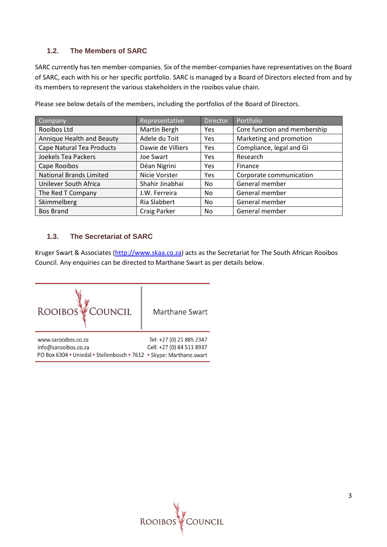### <span id="page-2-0"></span>**1.2. The Members of SARC**

SARC currently has ten member-companies. Six of the member-companies have representatives on the Board of SARC, each with his or her specific portfolio. SARC is managed by a Board of Directors elected from and by its members to represent the various stakeholders in the rooibos value chain.

| Company                        | Representative    | <b>Director</b> | Portfolio                    |
|--------------------------------|-------------------|-----------------|------------------------------|
| Rooibos Ltd                    | Martin Bergh      | Yes             | Core function and membership |
| Annique Health and Beauty      | Adele du Toit     | Yes             | Marketing and promotion      |
| Cape Natural Tea Products      | Dawie de Villiers | Yes             | Compliance, legal and GI     |
| Joekels Tea Packers            | Joe Swart         | Yes             | Research                     |
| Cape Rooibos                   | Déan Nigrini      | Yes             | Finance                      |
| <b>National Brands Limited</b> | Nicie Vorster     | Yes             | Corporate communication      |
| Unilever South Africa          | Shahir Jinabhai   | No.             | General member               |
| The Red T Company              | J.W. Ferreira     | No.             | General member               |
| Skimmelberg                    | Ria Slabbert      | No              | General member               |
| <b>Bos Brand</b>               | Craig Parker      | No              | General member               |

Please see below details of the members, including the portfolios of the Board of Directors.

### <span id="page-2-1"></span>**1.3. The Secretariat of SARC**

Kruger Swart & Associates [\(http://www.skaa.co.za\)](http://www.skaa.co.za/) acts as the Secretariat for The South African Rooibos Council. Any enquiries can be directed to Marthane Swart as per details below.



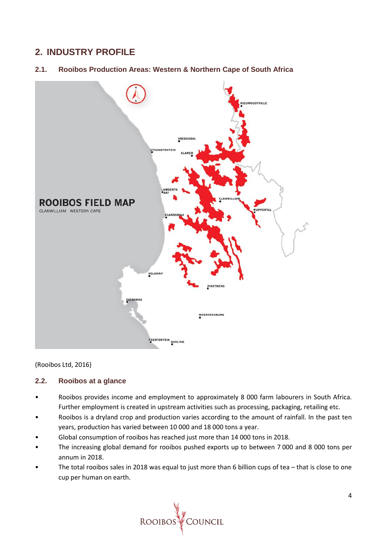## <span id="page-3-0"></span>**2. INDUSTRY PROFILE**

<span id="page-3-1"></span>**2.1. Rooibos Production Areas: Western & Northern Cape of South Africa**



(Rooibos Ltd, 2016)

#### <span id="page-3-2"></span>**2.2. Rooibos at a glance**

- Rooibos provides income and employment to approximately 8 000 farm labourers in South Africa. Further employment is created in upstream activities such as processing, packaging, retailing etc.
- Rooibos is a dryland crop and production varies according to the amount of rainfall. In the past ten years, production has varied between 10 000 and 18 000 tons a year.
- Global consumption of rooibos has reached just more than 14 000 tons in 2018.
- The increasing global demand for rooibos pushed exports up to between 7 000 and 8 000 tons per annum in 2018.
- The total rooibos sales in 2018 was equal to just more than 6 billion cups of tea that is close to one cup per human on earth.

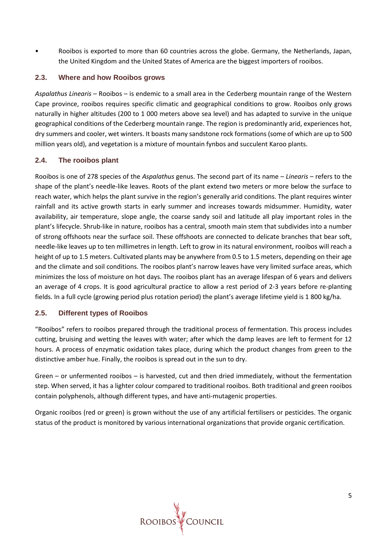• Rooibos is exported to more than 60 countries across the globe. Germany, the Netherlands, Japan, the United Kingdom and the United States of America are the biggest importers of rooibos.

#### <span id="page-4-0"></span>**2.3. Where and how Rooibos grows**

*Aspalathus Linearis* – Rooibos – is endemic to a small area in the Cederberg mountain range of the Western Cape province, rooibos requires specific climatic and geographical conditions to grow. Rooibos only grows naturally in higher altitudes (200 to 1 000 meters above sea level) and has adapted to survive in the unique geographical conditions of the Cederberg mountain range. The region is predominantly arid, experiences hot, dry summers and cooler, wet winters. It boasts many sandstone rock formations (some of which are up to 500 million years old), and vegetation is a mixture of mountain fynbos and succulent Karoo plants.

#### <span id="page-4-1"></span>**2.4. The rooibos plant**

Rooibos is one of 278 species of the *Aspalathus* genus. The second part of its name – *Linearis* – refers to the shape of the plant's needle-like leaves. Roots of the plant extend two meters or more below the surface to reach water, which helps the plant survive in the region's generally arid conditions. The plant requires winter rainfall and its active growth starts in early summer and increases towards midsummer. Humidity, water availability, air temperature, slope angle, the coarse sandy soil and latitude all play important roles in the plant's lifecycle. Shrub-like in nature, rooibos has a central, smooth main stem that subdivides into a number of strong offshoots near the surface soil. These offshoots are connected to delicate branches that bear soft, needle-like leaves up to ten millimetres in length. Left to grow in its natural environment, rooibos will reach a height of up to 1.5 meters. Cultivated plants may be anywhere from 0.5 to 1.5 meters, depending on their age and the climate and soil conditions. The rooibos plant's narrow leaves have very limited surface areas, which minimizes the loss of moisture on hot days. The rooibos plant has an average lifespan of 6 years and delivers an average of 4 crops. It is good agricultural practice to allow a rest period of 2-3 years before re-planting fields. In a full cycle (growing period plus rotation period) the plant's average lifetime yield is 1 800 kg/ha.

#### <span id="page-4-2"></span>**2.5. Different types of Rooibos**

"Rooibos" refers to rooibos prepared through the traditional process of fermentation. This process includes cutting, bruising and wetting the leaves with water; after which the damp leaves are left to ferment for 12 hours. A process of enzymatic oxidation takes place, during which the product changes from green to the distinctive amber hue. Finally, the rooibos is spread out in the sun to dry.

Green – or unfermented rooibos – is harvested, cut and then dried immediately, without the fermentation step. When served, it has a lighter colour compared to traditional rooibos. Both traditional and green rooibos contain polyphenols, although different types, and have anti-mutagenic properties.

Organic rooibos (red or green) is grown without the use of any artificial fertilisers or pesticides. The organic status of the product is monitored by various international organizations that provide organic certification.

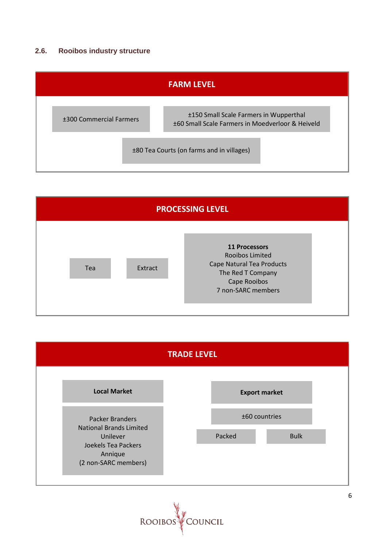### <span id="page-5-0"></span>**2.6. Rooibos industry structure**

| <b>FARM LEVEL</b>                         |                                                                                            |  |  |
|-------------------------------------------|--------------------------------------------------------------------------------------------|--|--|
| ±300 Commercial Farmers                   | ±150 Small Scale Farmers in Wupperthal<br>±60 Small Scale Farmers in Moedverloor & Heiveld |  |  |
| ±80 Tea Courts (on farms and in villages) |                                                                                            |  |  |





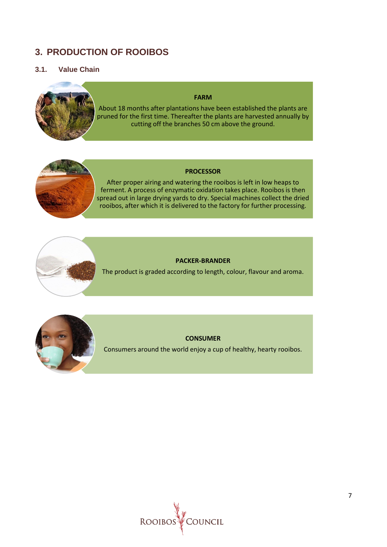## <span id="page-6-0"></span>**3. PRODUCTION OF ROOIBOS**

#### <span id="page-6-1"></span>**3.1. Value Chain**



#### **FARM**

About 18 months after plantations have been established the plants are pruned for the first time. Thereafter the plants are harvested annually by cutting off the branches 50 cm above the ground.



#### **PROCESSOR**

After proper airing and watering the rooibos is left in low heaps to ferment. A process of enzymatic oxidation takes place. Rooibos is then spread out in large drying yards to dry. Special machines collect the dried rooibos, after which it is delivered to the factory for further processing.



The product is graded according to length, colour, flavour and aroma.



#### **CONSUMER**

Consumers around the world enjoy a cup of healthy, hearty rooibos.

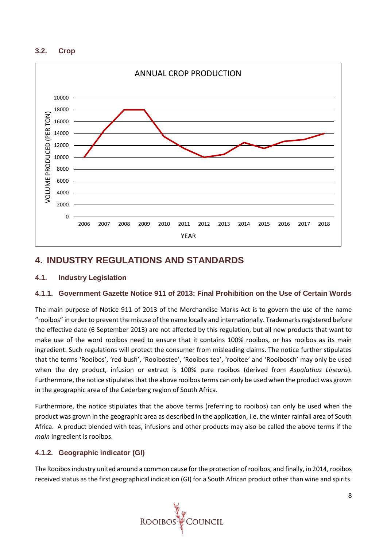#### <span id="page-7-0"></span>**3.2. Crop**



## <span id="page-7-1"></span>**4. INDUSTRY REGULATIONS AND STANDARDS**

#### <span id="page-7-2"></span>**4.1. Industry Legislation**

#### **4.1.1. Government Gazette Notice 911 of 2013: Final Prohibition on the Use of Certain Words**

The main purpose of Notice 911 of 2013 of the Merchandise Marks Act is to govern the use of the name "rooibos" in order to prevent the misuse of the name locally and internationally. Trademarksregistered before the effective date (6 September 2013) are not affected by this regulation, but all new products that want to make use of the word rooibos need to ensure that it contains 100% rooibos, or has rooibos as its main ingredient. Such regulations will protect the consumer from misleading claims. The notice further stipulates that the terms 'Rooibos', 'red bush', 'Rooibostee', 'Rooibos tea', 'rooitee' and 'Rooibosch' may only be used when the dry product, infusion or extract is 100% pure rooibos (derived from *Aspalathus Linearis*). Furthermore, the notice stipulates that the above rooibos terms can only be used when the product was grown in the geographic area of the Cederberg region of South Africa.

Furthermore, the notice stipulates that the above terms (referring to rooibos) can only be used when the product was grown in the geographic area as described in the application, i.e. the winter rainfall area of South Africa. A product blended with teas, infusions and other products may also be called the above terms if the *main* ingredient is rooibos.

#### **4.1.2. Geographic indicator (GI)**

The Rooibos industry united around a common cause for the protection of rooibos, and finally, in 2014, rooibos received status as the first geographical indication (GI) for a South African product other than wine and spirits.

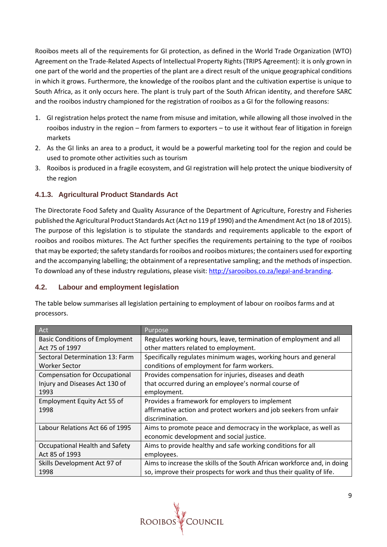Rooibos meets all of the requirements for GI protection, as defined in the World Trade Organization (WTO) Agreement on the Trade-Related Aspects of Intellectual Property Rights (TRIPS Agreement): it is only grown in one part of the world and the properties of the plant are a direct result of the unique geographical conditions in which it grows. Furthermore, the knowledge of the rooibos plant and the cultivation expertise is unique to South Africa, as it only occurs here. The plant is truly part of the South African identity, and therefore SARC and the rooibos industry championed for the registration of rooibos as a GI for the following reasons:

- 1. GI registration helps protect the name from misuse and imitation, while allowing all those involved in the rooibos industry in the region – from farmers to exporters – to use it without fear of litigation in foreign markets
- 2. As the GI links an area to a product, it would be a powerful marketing tool for the region and could be used to promote other activities such as tourism
- 3. Rooibos is produced in a fragile ecosystem, and GI registration will help protect the unique biodiversity of the region

## **4.1.3. Agricultural Product Standards Act**

The Directorate Food Safety and Quality Assurance of the Department of Agriculture, Forestry and Fisheries published the Agricultural Product Standards Act (Act no 119 pf 1990) and the Amendment Act (no 18 of 2015). The purpose of this legislation is to stipulate the standards and requirements applicable to the export of rooibos and rooibos mixtures. The Act further specifies the requirements pertaining to the type of rooibos that may be exported; the safety standards for rooibos and rooibos mixtures; the containers used for exporting and the accompanying labelling; the obtainment of a representative sampling; and the methods of inspection. To download any of these industry regulations, please visit: [http://sarooibos.co.za/legal-and-branding.](http://sarooibos.co.za/legal-and-branding)

### <span id="page-8-0"></span>**4.2. Labour and employment legislation**

| Act                                   | Purpose                                                                  |  |
|---------------------------------------|--------------------------------------------------------------------------|--|
| <b>Basic Conditions of Employment</b> | Regulates working hours, leave, termination of employment and all        |  |
| Act 75 of 1997                        | other matters related to employment.                                     |  |
| Sectoral Determination 13: Farm       | Specifically regulates minimum wages, working hours and general          |  |
| Worker Sector                         | conditions of employment for farm workers.                               |  |
| <b>Compensation for Occupational</b>  | Provides compensation for injuries, diseases and death                   |  |
| Injury and Diseases Act 130 of        | that occurred during an employee's normal course of                      |  |
| 1993                                  | employment.                                                              |  |
| Employment Equity Act 55 of           | Provides a framework for employers to implement                          |  |
| 1998                                  | affirmative action and protect workers and job seekers from unfair       |  |
|                                       | discrimination.                                                          |  |
| Labour Relations Act 66 of 1995       | Aims to promote peace and democracy in the workplace, as well as         |  |
|                                       | economic development and social justice.                                 |  |
| Occupational Health and Safety        | Aims to provide healthy and safe working conditions for all              |  |
| Act 85 of 1993                        | employees.                                                               |  |
| Skills Development Act 97 of          | Aims to increase the skills of the South African workforce and, in doing |  |
| 1998                                  | so, improve their prospects for work and thus their quality of life.     |  |

The table below summarises all legislation pertaining to employment of labour on rooibos farms and at processors.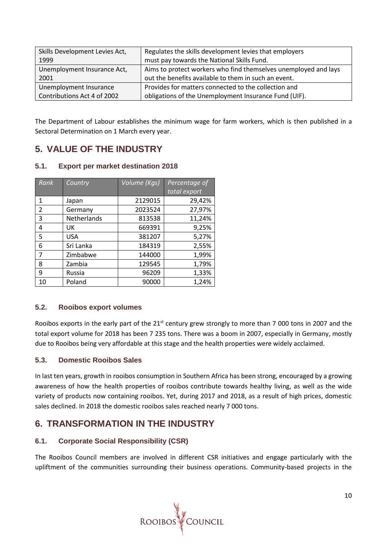| Skills Development Levies Act, | Regulates the skills development levies that employers          |  |
|--------------------------------|-----------------------------------------------------------------|--|
| 1999                           | must pay towards the National Skills Fund.                      |  |
| Unemployment Insurance Act,    | Aims to protect workers who find themselves unemployed and lays |  |
| 2001                           | out the benefits available to them in such an event.            |  |
| Unemployment Insurance         | Provides for matters connected to the collection and            |  |
| Contributions Act 4 of 2002    | obligations of the Unemployment Insurance Fund (UIF).           |  |

The Department of Labour establishes the minimum wage for farm workers, which is then published in a Sectoral Determination on 1 March every year.

## <span id="page-9-0"></span>**5. VALUE OF THE INDUSTRY**

#### <span id="page-9-1"></span>**5.1. Export per market destination 2018**

| Rank           | Country     | Volume (Kgs) | Percentage of |
|----------------|-------------|--------------|---------------|
|                |             |              | total export  |
| 1              | Japan       | 2129015      | 29,42%        |
| $\overline{2}$ | Germany     | 2023524      | 27,97%        |
| 3              | Netherlands | 813538       | 11,24%        |
| 4              | UK          | 669391       | 9,25%         |
| 5              | <b>USA</b>  | 381207       | 5,27%         |
| 6              | Sri Lanka   | 184319       | 2,55%         |
| $\overline{7}$ | Zimbabwe    | 144000       | 1,99%         |
| 8              | Zambia      | 129545       | 1,79%         |
| 9              | Russia      | 96209        | 1,33%         |
| 10             | Poland      | 90000        | 1,24%         |

#### <span id="page-9-2"></span>**5.2. Rooibos export volumes**

Rooibos exports in the early part of the 21<sup>st</sup> century grew strongly to more than 7 000 tons in 2007 and the total export volume for 2018 has been 7 235 tons. There was a boom in 2007, especially in Germany, mostly due to Rooibos being very affordable at this stage and the health properties were widely acclaimed.

### <span id="page-9-3"></span>**5.3. Domestic Rooibos Sales**

In last ten years, growth in rooibos consumption in Southern Africa has been strong, encouraged by a growing awareness of how the health properties of rooibos contribute towards healthy living, as well as the wide variety of products now containing rooibos. Yet, during 2017 and 2018, as a result of high prices, domestic sales declined. In 2018 the domestic rooibos sales reached nearly 7 000 tons.

## <span id="page-9-4"></span>**6. TRANSFORMATION IN THE INDUSTRY**

### <span id="page-9-5"></span>**6.1. Corporate Social Responsibility (CSR)**

The Rooibos Council members are involved in different CSR initiatives and engage particularly with the upliftment of the communities surrounding their business operations. Community-based projects in the

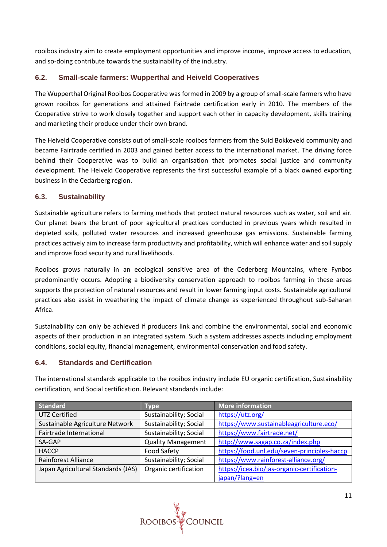rooibos industry aim to create employment opportunities and improve income, improve access to education, and so-doing contribute towards the sustainability of the industry.

## <span id="page-10-0"></span>**6.2. Small-scale farmers: Wupperthal and Heiveld Cooperatives**

The Wupperthal Original Rooibos Cooperative was formed in 2009 by a group of small-scale farmers who have grown rooibos for generations and attained Fairtrade certification early in 2010. The members of the Cooperative strive to work closely together and support each other in capacity development, skills training and marketing their produce under their own brand.

The Heiveld Cooperative consists out of small-scale rooibos farmers from the Suid Bokkeveld community and became Fairtrade certified in 2003 and gained better access to the international market. The driving force behind their Cooperative was to build an organisation that promotes social justice and community development. The Heiveld Cooperative represents the first successful example of a black owned exporting business in the Cedarberg region.

### <span id="page-10-1"></span>**6.3. Sustainability**

Sustainable agriculture refers to farming methods that protect natural resources such as water, soil and air. Our planet bears the brunt of poor agricultural practices conducted in previous years which resulted in depleted soils, polluted water resources and increased greenhouse gas emissions. Sustainable farming practices actively aim to increase farm productivity and profitability, which will enhance water and soil supply and improve food security and rural livelihoods.

Rooibos grows naturally in an ecological sensitive area of the Cederberg Mountains, where Fynbos predominantly occurs. Adopting a biodiversity conservation approach to rooibos farming in these areas supports the protection of natural resources and result in lower farming input costs. Sustainable agricultural practices also assist in weathering the impact of climate change as experienced throughout sub-Saharan Africa.

Sustainability can only be achieved if producers link and combine the environmental, social and economic aspects of their production in an integrated system. Such a system addresses aspects including employment conditions, social equity, financial management, environmental conservation and food safety.

### <span id="page-10-2"></span>**6.4. Standards and Certification**

The international standards applicable to the rooibos industry include EU organic certification, Sustainability certification, and Social certification. Relevant standards include:

| <b>Standard</b>                    | Type                      | <b>More information</b>                     |  |
|------------------------------------|---------------------------|---------------------------------------------|--|
| <b>UTZ Certified</b>               | Sustainability; Social    | https://utz.org/                            |  |
| Sustainable Agriculture Network    | Sustainability; Social    | https://www.sustainableagriculture.eco/     |  |
| Fairtrade International            | Sustainability; Social    | https://www.fairtrade.net/                  |  |
| SA-GAP                             | <b>Quality Management</b> | http://www.sagap.co.za/index.php            |  |
| <b>HACCP</b>                       | <b>Food Safety</b>        | https://food.unl.edu/seven-principles-haccp |  |
| <b>Rainforest Alliance</b>         | Sustainability; Social    | https://www.rainforest-alliance.org/        |  |
| Japan Agricultural Standards (JAS) | Organic certification     | https://icea.bio/jas-organic-certification- |  |
|                                    |                           | japan/?lang=en                              |  |

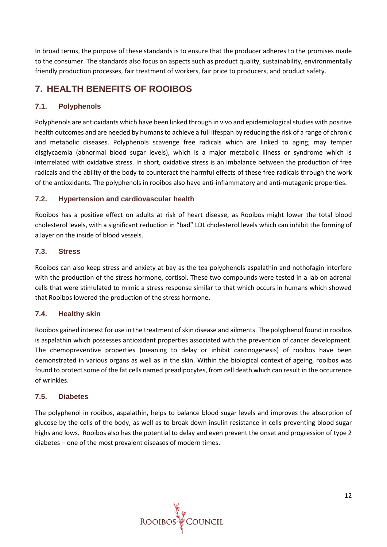In broad terms, the purpose of these standards is to ensure that the producer adheres to the promises made to the consumer. The standards also focus on aspects such as product quality, sustainability, environmentally friendly production processes, fair treatment of workers, fair price to producers, and product safety.

## <span id="page-11-0"></span>**7. HEALTH BENEFITS OF ROOIBOS**

## <span id="page-11-1"></span>**7.1. Polyphenols**

Polyphenols are antioxidants which have been linked through in vivo and epidemiological studies with positive health outcomes and are needed by humans to achieve a full lifespan by reducing the risk of a range of chronic and metabolic diseases. Polyphenols scavenge free radicals which are linked to aging; may temper disglycaemia (abnormal blood sugar levels), which is a major metabolic illness or syndrome which is interrelated with oxidative stress. In short, oxidative stress is an imbalance between the production of free radicals and the ability of the body to counteract the harmful effects of these free radicals through the work of the antioxidants. The polyphenols in rooibos also have anti-inflammatory and anti-mutagenic properties.

### <span id="page-11-2"></span>**7.2. Hypertension and cardiovascular health**

Rooibos has a positive effect on adults at risk of heart disease, as Rooibos might lower the total blood cholesterol levels, with a significant reduction in "bad" LDL cholesterol levels which can inhibit the forming of a layer on the inside of blood vessels.

### <span id="page-11-3"></span>**7.3. Stress**

Rooibos can also keep stress and anxiety at bay as the tea polyphenols aspalathin and nothofagin interfere with the production of the stress hormone, cortisol. These two compounds were tested in a lab on adrenal cells that were stimulated to mimic a stress response similar to that which occurs in humans which showed that Rooibos lowered the production of the stress hormone.

### <span id="page-11-4"></span>**7.4. Healthy skin**

Rooibos gained interest for use in the treatment of skin disease and ailments. The polyphenol found in rooibos is aspalathin which possesses antioxidant properties associated with the prevention of cancer development. The chemopreventive properties (meaning to delay or inhibit carcinogenesis) of rooibos have been demonstrated in various organs as well as in the skin. Within the biological context of ageing, rooibos was found to protect some of the fat cells named preadipocytes, from cell death which can result in the occurrence of wrinkles.

### <span id="page-11-5"></span>**7.5. Diabetes**

The polyphenol in rooibos, aspalathin, helps to balance blood sugar levels and improves the absorption of glucose by the cells of the body, as well as to break down insulin resistance in cells preventing blood sugar highs and lows. Rooibos also has the potential to delay and even prevent the onset and progression of type 2 diabetes – one of the most prevalent diseases of modern times.

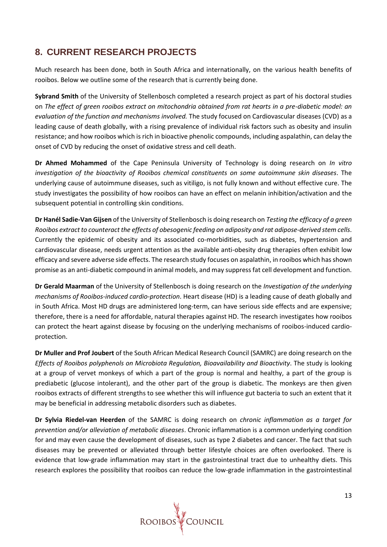## <span id="page-12-0"></span>**8. CURRENT RESEARCH PROJECTS**

Much research has been done, both in South Africa and internationally, on the various health benefits of rooibos. Below we outline some of the research that is currently being done.

**Sybrand Smith** of the University of Stellenbosch completed a research project as part of his doctoral studies on *The effect of green rooibos extract on mitochondria obtained from rat hearts in a pre-diabetic model: an evaluation of the function and mechanisms involved.* The study focused on Cardiovascular diseases (CVD) as a leading cause of death globally, with a rising prevalence of individual risk factors such as obesity and insulin resistance; and how rooibos which is rich in bioactive phenolic compounds, including aspalathin, can delay the onset of CVD by reducing the onset of oxidative stress and cell death.

**Dr Ahmed Mohammed** of the Cape Peninsula University of Technology is doing research on *In vitro investigation of the bioactivity of Rooibos chemical constituents on some autoimmune skin diseases*. The underlying cause of autoimmune diseases, such as vitiligo, is not fully known and without effective cure. The study investigates the possibility of how rooibos can have an effect on melanin inhibition/activation and the subsequent potential in controlling skin conditions.

**Dr Hanél Sadie-Van Gijsen** of the University of Stellenbosch is doing research on *Testing the efficacy of a green Rooibos extract to counteract the effects of obesogenic feeding on adiposity and rat adipose-derived stem cells*. Currently the epidemic of obesity and its associated co-morbidities, such as diabetes, hypertension and cardiovascular disease, needs urgent attention as the available anti-obesity drug therapies often exhibit low efficacy and severe adverse side effects. The research study focuses on aspalathin, in rooibos which has shown promise as an anti-diabetic compound in animal models, and may suppress fat cell development and function.

**Dr Gerald Maarman** of the University of Stellenbosch is doing research on the *Investigation of the underlying mechanisms of Rooibos-induced cardio-protection*. Heart disease (HD) is a leading cause of death globally and in South Africa. Most HD drugs are administered long-term, can have serious side effects and are expensive; therefore, there is a need for affordable, natural therapies against HD. The research investigates how rooibos can protect the heart against disease by focusing on the underlying mechanisms of rooibos-induced cardioprotection.

**Dr Muller and Prof Joubert** of the South African Medical Research Council (SAMRC) are doing research on the *Effects of Rooibos polyphenols on Microbiota Regulation, Bioavailability and Bioactivity*. The study is looking at a group of vervet monkeys of which a part of the group is normal and healthy, a part of the group is prediabetic (glucose intolerant), and the other part of the group is diabetic. The monkeys are then given rooibos extracts of different strengths to see whether this will influence gut bacteria to such an extent that it may be beneficial in addressing metabolic disorders such as diabetes.

**Dr Sylvia Riedel-van Heerden** of the SAMRC is doing research on *chronic inflammation as a target for prevention and/or alleviation of metabolic diseases*. Chronic inflammation is a common underlying condition for and may even cause the development of diseases, such as type 2 diabetes and cancer. The fact that such diseases may be prevented or alleviated through better lifestyle choices are often overlooked. There is evidence that low-grade inflammation may start in the gastrointestinal tract due to unhealthy diets. This research explores the possibility that rooibos can reduce the low-grade inflammation in the gastrointestinal

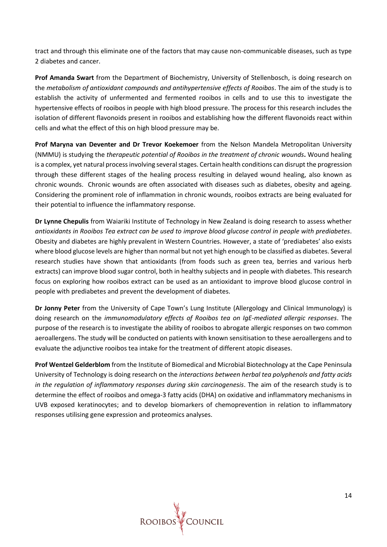tract and through this eliminate one of the factors that may cause non-communicable diseases, such as type 2 diabetes and cancer.

**Prof Amanda Swart** from the Department of Biochemistry, University of Stellenbosch, is doing research on the *metabolism of antioxidant compounds and antihypertensive effects of Rooibos*. The aim of the study is to establish the activity of unfermented and fermented rooibos in cells and to use this to investigate the hypertensive effects of rooibos in people with high blood pressure. The process for this research includes the isolation of different flavonoids present in rooibos and establishing how the different flavonoids react within cells and what the effect of this on high blood pressure may be.

**Prof Maryna van Deventer and Dr Trevor Koekemoer** from the Nelson Mandela Metropolitan University (NMMU) is studying the *therapeutic potential of Rooibos in the treatment of chronic wounds***.** Wound healing is a complex, yet natural process involving several stages. Certain health conditions can disrupt the progression through these different stages of the healing process resulting in delayed wound healing, also known as chronic wounds. Chronic wounds are often associated with diseases such as diabetes, obesity and ageing. Considering the prominent role of inflammation in chronic wounds, rooibos extracts are being evaluated for their potential to influence the inflammatory response.

**Dr Lynne Chepulis** from Waiariki Institute of Technology in New Zealand is doing research to assess whether *antioxidants in Rooibos Tea extract can be used to improve blood glucose control in people with prediabetes*. Obesity and diabetes are highly prevalent in Western Countries. However, a state of 'prediabetes' also exists where blood glucose levels are higher than normal but not yet high enough to be classified as diabetes. Several research studies have shown that antioxidants (from foods such as green tea, berries and various herb extracts) can improve blood sugar control, both in healthy subjects and in people with diabetes. This research focus on exploring how rooibos extract can be used as an antioxidant to improve blood glucose control in people with prediabetes and prevent the development of diabetes.

**Dr Jonny Peter** from the University of Cape Town's Lung Institute (Allergology and Clinical Immunology) is doing research on the *immunomodulatory effects of Rooibos tea on IgE-mediated allergic responses*. The purpose of the research is to investigate the ability of rooibos to abrogate allergic responses on two common aeroallergens. The study will be conducted on patients with known sensitisation to these aeroallergens and to evaluate the adjunctive rooibos tea intake for the treatment of different atopic diseases.

**Prof Wentzel Gelderblom** from the Institute of Biomedical and Microbial Biotechnology at the Cape Peninsula University of Technology is doing research on the *interactions between herbal tea polyphenols and fatty acids in the regulation of inflammatory responses during skin carcinogenesis*. The aim of the research study is to determine the effect of rooibos and omega-3 fatty acids (DHA) on oxidative and inflammatory mechanisms in UVB exposed keratinocytes; and to develop biomarkers of chemoprevention in relation to inflammatory responses utilising gene expression and proteomics analyses.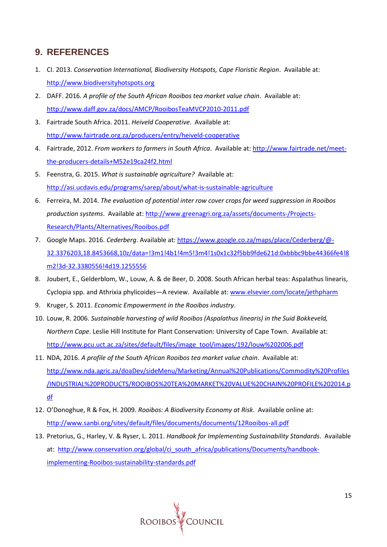## <span id="page-14-0"></span>**9. REFERENCES**

- 1. CI. 2013. *Conservation International, Biodiversity Hotspots, Cape Floristic Region*. Available at: [http://www.biodiversityhotspots.org](http://www.biodiversityhotspots.org/)
- 2. DAFF. 2016. *A profile of the South African Rooibos tea market value chain*. Available at: <http://www.daff.gov.za/docs/AMCP/RooibosTeaMVCP2010-2011.pdf>
- 3. Fairtrade South Africa. 2011. *Heiveld Cooperative*. Available at: <http://www.fairtrade.org.za/producers/entry/heiveld-cooperative>
- 4. Fairtrade, 2012. *From workers to farmers in South Africa*. Available at[: http://www.fairtrade.net/meet](http://www.fairtrade.net/meet-the-producers-details+M52e19ca24f2.html)[the-producers-details+M52e19ca24f2.html](http://www.fairtrade.net/meet-the-producers-details+M52e19ca24f2.html)
- 5. Feenstra, G. 2015. *What is sustainable agriculture?* Available at: <http://asi.ucdavis.edu/programs/sarep/about/what-is-sustainable-agriculture>
- 6. Ferreira, M. 2014. *The evaluation of potential inter row cover crops for weed suppression in Rooibos production systems*. Available at: [http://www.greenagri.org.za/assets/documents-/Projects-](http://www.greenagri.org.za/assets/documents-/Projects-Research/Plants/Alternatives/Rooibos.pdf)[Research/Plants/Alternatives/Rooibos.pdf](http://www.greenagri.org.za/assets/documents-/Projects-Research/Plants/Alternatives/Rooibos.pdf)
- 7. Google Maps. 2016. *Cederberg*. Available at[: https://www.google.co.za/maps/place/Cederberg/@-](https://www.google.co.za/maps/place/Cederberg/@-32.3376203,18.8453668,10z/data=!3m1!4b1!4m5!3m4!1s0x1c32f5bb9fde621d:0xbbbc9bbe44366fe4!8m2!3d-32.3380556!4d19.1255556) [32.3376203,18.8453668,10z/data=!3m1!4b1!4m5!3m4!1s0x1c32f5bb9fde621d:0xbbbc9bbe44366fe4!8](https://www.google.co.za/maps/place/Cederberg/@-32.3376203,18.8453668,10z/data=!3m1!4b1!4m5!3m4!1s0x1c32f5bb9fde621d:0xbbbc9bbe44366fe4!8m2!3d-32.3380556!4d19.1255556) [m2!3d-32.3380556!4d19.1255556](https://www.google.co.za/maps/place/Cederberg/@-32.3376203,18.8453668,10z/data=!3m1!4b1!4m5!3m4!1s0x1c32f5bb9fde621d:0xbbbc9bbe44366fe4!8m2!3d-32.3380556!4d19.1255556)
- 8. Joubert, E., Gelderblom, W., Louw, A. & de Beer, D. 2008. South African herbal teas: Aspalathus linearis, Cyclopia spp. and Athrixia phylicoides—A review. Available at: [www.elsevier.com/locate/jethpharm](http://www.elsevier.com/locate/jethpharm)
- 9. Kruger, S. 2011. *Economic Empowerment in the Rooibos industry*.
- 10. Louw, R. 2006. *Sustainable harvesting of wild Rooibos (Aspalathus linearis) in the Suid Bokkeveld, Northern Cape*. Leslie Hill Institute for Plant Conservation: University of Cape Town. Available at: [http://www.pcu.uct.ac.za/sites/default/files/image\\_tool/images/192/louw%202006.pdf](http://www.pcu.uct.ac.za/sites/default/files/image_tool/images/192/louw%202006.pdf)
- 11. NDA, 2016. *A profile of the South African Rooibos tea market value chain*. Available at: [http://www.nda.agric.za/doaDev/sideMenu/Marketing/Annual%20Publications/Commodity%20Profiles](http://www.nda.agric.za/doaDev/sideMenu/Marketing/Annual%20Publications/Commodity%20Profiles/INDUSTRIAL%20PRODUCTS/ROOIBOS%20TEA%20MARKET%20VALUE%20CHAIN%20PROFILE%202014.pdf) [/INDUSTRIAL%20PRODUCTS/ROOIBOS%20TEA%20MARKET%20VALUE%20CHAIN%20PROFILE%202014.p](http://www.nda.agric.za/doaDev/sideMenu/Marketing/Annual%20Publications/Commodity%20Profiles/INDUSTRIAL%20PRODUCTS/ROOIBOS%20TEA%20MARKET%20VALUE%20CHAIN%20PROFILE%202014.pdf) [df](http://www.nda.agric.za/doaDev/sideMenu/Marketing/Annual%20Publications/Commodity%20Profiles/INDUSTRIAL%20PRODUCTS/ROOIBOS%20TEA%20MARKET%20VALUE%20CHAIN%20PROFILE%202014.pdf)
- 12. O'Donoghue, R & Fox, H. 2009. *Rooibos: A Biodiversity Economy at Risk*. Available online at: <http://www.sanbi.org/sites/default/files/documents/documents/12Rooibos-all.pdf>
- 13. Pretorius, G., Harley, V. & Ryser, L. 2011. *Handbook for Implementing Sustainability Standards*. Available at: [http://www.conservation.org/global/ci\\_south\\_africa/publications/Documents/handbook](http://www.conservation.org/global/ci_south_africa/publications/Documents/handbook-implementing-Rooibos-sustainability-standards.pdf)[implementing-Rooibos-sustainability-standards.pdf](http://www.conservation.org/global/ci_south_africa/publications/Documents/handbook-implementing-Rooibos-sustainability-standards.pdf)